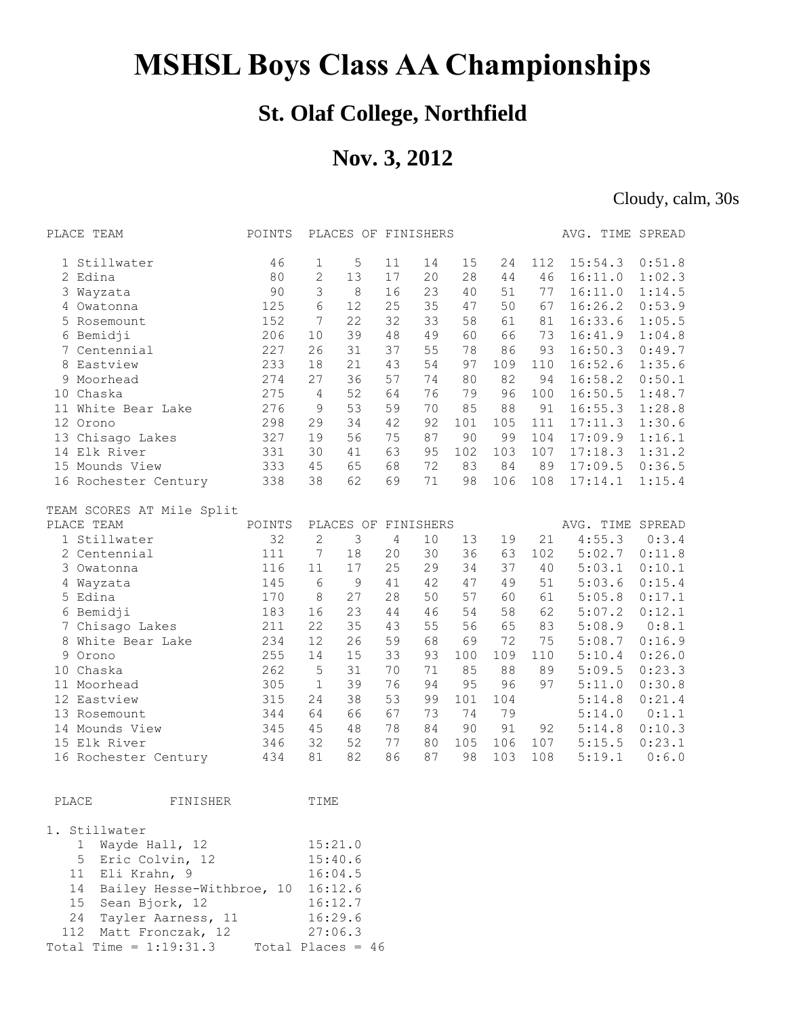## **MSHSL Boys Class AA Championships**

## **St. Olaf College, Northfield**

## **Nov. 3, 2012**

Cloudy, calm, 30s

|                | PLACE TEAM                | POINTS |                | PLACES OF FINISHERS |    |           |     |     |     | AVG. TIME SPREAD |        |
|----------------|---------------------------|--------|----------------|---------------------|----|-----------|-----|-----|-----|------------------|--------|
|                | 1 Stillwater              | 46     | 1              | 5                   | 11 | 14        | 15  | 24  | 112 | 15:54.3          | 0:51.8 |
| $\mathbf{2}^-$ | Edina                     | 80     | $\mathbf{2}$   | 13                  | 17 | 20        | 28  | 44  | 46  | 16:11.0          | 1:02.3 |
| 3              | Wayzata                   | 90     | 3              | 8                   | 16 | 23        | 40  | 51  | 77  | 16:11.0          | 1:14.5 |
| 4              | Owatonna                  | 125    | 6              | 12                  | 25 | 35        | 47  | 50  | 67  | 16:26.2          | 0:53.9 |
|                | 5 Rosemount               | 152    | 7              | 22                  | 32 | 33        | 58  | 61  | 81  | 16:33.6          | 1:05.5 |
|                | 6 Bemidji                 | 206    | 10             | 39                  | 48 | 49        | 60  | 66  | 73  | 16:41.9          | 1:04.8 |
|                | 7 Centennial              | 227    | 26             | 31                  | 37 | 55        | 78  | 86  | 93  | 16:50.3          | 0:49.7 |
| 8              | Eastview                  | 233    | 18             | 21                  | 43 | 54        | 97  | 109 | 110 | 16:52.6          | 1:35.6 |
|                | 9 Moorhead                | 274    | 27             | 36                  | 57 | 74        | 80  | 82  | 94  | 16:58.2          | 0:50.1 |
|                | 10 Chaska                 | 275    | 4              | 52                  | 64 | 76        | 79  | 96  | 100 | 16:50.5          | 1:48.7 |
|                | 11 White Bear Lake        | 276    | 9              | 53                  | 59 | 70        | 85  | 88  | 91  | 16:55.3          | 1:28.8 |
|                | 12 Orono                  | 298    | 29             | 34                  | 42 | 92        | 101 | 105 | 111 | 17:11.3          | 1:30.6 |
|                | 13 Chisago Lakes          | 327    | 19             | 56                  | 75 | 87        | 90  | 99  | 104 | 17:09.9          | 1:16.1 |
|                | 14 Elk River              | 331    | 30             | 41                  | 63 | 95        | 102 | 103 | 107 | 17:18.3          | 1:31.2 |
|                | 15 Mounds View            | 333    | 45             | 65                  | 68 | 72        | 83  | 84  | 89  | 17:09.5          | 0:36.5 |
|                | 16 Rochester Century      | 338    | 38             | 62                  | 69 | 71        | 98  | 106 | 108 | 17:14.1          | 1:15.4 |
|                | TEAM SCORES AT Mile Split |        |                |                     |    |           |     |     |     |                  |        |
|                | PLACE TEAM                | POINTS |                | PLACES OF           |    | FINISHERS |     |     |     | AVG. TIME SPREAD |        |
|                | 1 Stillwater              | 32     | $\overline{2}$ | 3                   | 4  | 10        | 13  | 19  | 21  | 4:55.3           | 0:3.4  |
|                | 2 Centennial              | 111    | 7              | 18                  | 20 | 30        | 36  | 63  | 102 | 5:02.7           | 0:11.8 |
|                | 3 Owatonna                | 116    | 11             | 17                  | 25 | 29        | 34  | 37  | 40  | 5:03.1           | 0:10.1 |
|                | 4 Wayzata                 | 145    | 6              | $\mathsf 9$         | 41 | 42        | 47  | 49  | 51  | 5:03.6           | 0:15.4 |
|                | 5 Edina                   | 170    | 8              | 27                  | 28 | 50        | 57  | 60  | 61  | 5:05.8           | 0:17.1 |
|                | 6 Bemidji                 | 183    | 16             | 23                  | 44 | 46        | 54  | 58  | 62  | 5:07.2           | 0:12.1 |
| $7^{\circ}$    | Chisago Lakes             | 211    | 22             | 35                  | 43 | 55        | 56  | 65  | 83  | 5:08.9           | 0:8.1  |
| 8              | White Bear Lake           | 234    | 12             | 26                  | 59 | 68        | 69  | 72  | 75  | 5:08.7           | 0:16.9 |
| 9              | Orono                     | 255    | 14             | 15                  | 33 | 93        | 100 | 109 | 110 | 5:10.4           | 0:26.0 |
|                | 10 Chaska                 | 262    | 5              | 31                  | 70 | 71        | 85  | 88  | 89  | 5:09.5           | 0:23.3 |
|                | 11 Moorhead               | 305    | $\mathbf{1}$   | 39                  | 76 | 94        | 95  | 96  | 97  | 5:11.0           | 0:30.8 |
|                | 12 Eastview               | 315    | 24             | 38                  | 53 | 99        | 101 | 104 |     | 5:14.8           | 0:21.4 |
|                | 13 Rosemount              | 344    | 64             | 66                  | 67 | 73        | 74  | 79  |     | 5:14.0           | 0:1.1  |
|                | 14 Mounds View            | 345    | 45             | 48                  | 78 | 84        | 90  | 91  | 92  | 5:14.8           | 0:10.3 |
|                | 15 Elk River              | 346    | 32             | 52                  | 77 | 80        | 105 | 106 | 107 | 5:15.5           | 0:23.1 |
|                | 16 Rochester Century      | 434    | 81             | 82                  | 86 | 87        | 98  | 103 | 108 | 5:19.1           | 0:6.0  |
|                |                           |        |                |                     |    |           |     |     |     |                  |        |
| PLACE          | FINISHER                  |        | TIME           |                     |    |           |     |     |     |                  |        |

|  | 1. Stillwater                        |                     |  |
|--|--------------------------------------|---------------------|--|
|  | 1 Wayde Hall, 12                     | 15:21.0             |  |
|  | 5 Eric Colvin, 12                    | 15:40.6             |  |
|  | 11 Eli Krahn, 9                      | 16:04.5             |  |
|  | 14 Bailey Hesse-Withbroe, 10 16:12.6 |                     |  |
|  | 15 Sean Bjork, 12                    | 16:12.7             |  |
|  | 24 Tayler Aarness, 11                | 16:29.6             |  |
|  | 112 Matt Fronczak, 12                | 27:06.3             |  |
|  | Total Time = $1:19:31.3$             | Total Places = $46$ |  |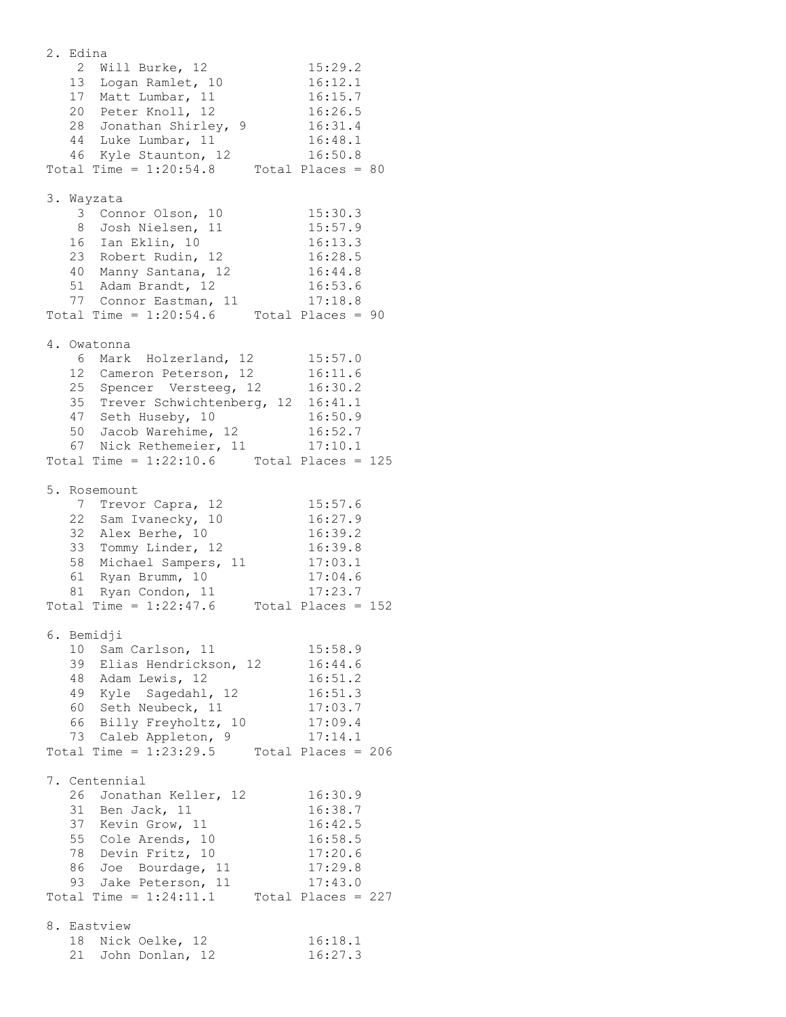2. Edina 2 Will Burke, 12 15:29.2 13 Logan Ramlet, 10 16:12.1 17 Matt Lumbar, 11 16:15.7 20 Peter Knoll, 12 16:26.5 28 Jonathan Shirley, 9 16:31.4 44 Luke Lumbar, 11 16:48.1 46 Kyle Staunton, 12 16:50.8 Total Time =  $1:20:54.8$  Total Places = 80 3. Wayzata 3 Connor Olson, 10 15:30.3 8 Josh Nielsen, 11 15:57.9 16 Ian Eklin, 10 16:13.3 23 Robert Rudin, 12 16:28.5 40 Manny Santana, 12 16:44.8 51 Adam Brandt, 12 16:53.6 77 Connor Eastman, 11 17:18.8 Total Time =  $1:20:54.6$  Total Places = 90 4. Owatonna 6 Mark Holzerland, 12 15:57.0 12 Cameron Peterson, 12 16:11.6 25 Spencer Versteeg, 12 16:30.2 35 Trever Schwichtenberg, 12 16:41.1 47 Seth Huseby, 10 16:50.9 50 Jacob Warehime, 12 16:52.7 67 Nick Rethemeier, 11 17:10.1 Total Time =  $1:22:10.6$  Total Places = 125 5. Rosemount 7 Trevor Capra, 12 15:57.6 22 Sam Ivanecky, 10 16:27.9 32 Alex Berhe, 10 16:39.2 33 Tommy Linder, 12 16:39.8 58 Michael Sampers, 11 17:03.1 61 Ryan Brumm, 10 17:04.6 81 Ryan Condon, 11 17:23.7 Total Time =  $1:22:47.6$  Total Places = 152 6. Bemidji 10 Sam Carlson, 11 15:58.9 39 Elias Hendrickson, 12 16:44.6 48 Adam Lewis, 12 16:51.2 49 Kyle Sagedahl, 12 16:51.3 60 Seth Neubeck, 11 17:03.7 66 Billy Freyholtz, 10 17:09.4 73 Caleb Appleton, 9 17:14.1 Total Time =  $1:23:29.5$  Total Places = 206 7. Centennial 26 Jonathan Keller, 12 16:30.9 31 Ben Jack, 11 16:38.7 37 Kevin Grow, 11 16:42.5 55 Cole Arends, 10 16:58.5 78 Devin Fritz, 10 17:20.6 86 Joe Bourdage, 11 17:29.8 93 Jake Peterson, 11 17:43.0 Total Time =  $1:24:11.1$  Total Places = 227 8. Eastview 18 Nick Oelke, 12 16:18.1 21 John Donlan, 12 16:27.3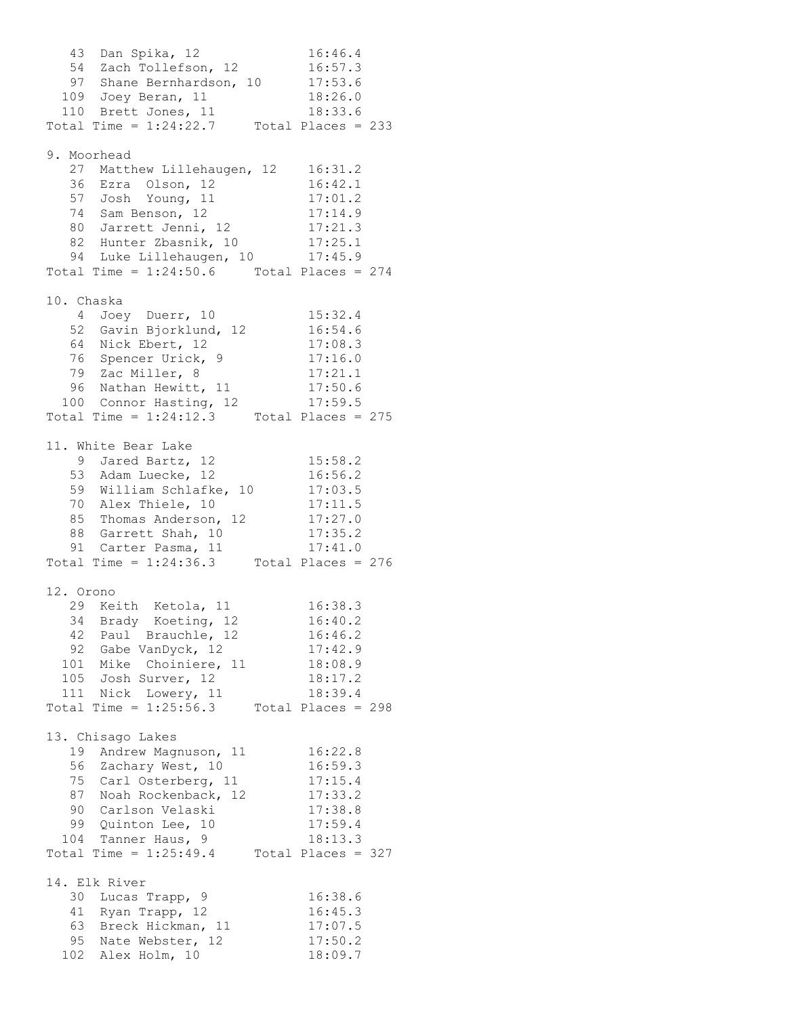43 Dan Spika, 12 16:46.4 54 Zach Tollefson, 12 16:57.3 97 Shane Bernhardson, 10 17:53.6 109 Joey Beran, 11 18:26.0 110 Brett Jones, 11 18:33.6 Total Time = 1:24:22.7 Total Places = 233 9. Moorhead 27 Matthew Lillehaugen, 12 16:31.2 36 Ezra Olson, 12 16:42.1 57 Josh Young, 11 17:01.2 74 Sam Benson, 12 17:14.9 80 Jarrett Jenni, 12 17:21.3 82 Hunter Zbasnik, 10 17:25.1 94 Luke Lillehaugen, 10 17:45.9 Total Time =  $1:24:50.6$  Total Places = 274 10. Chaska 4 Joey Duerr, 10 15:32.4 52 Gavin Bjorklund, 12 16:54.6 64 Nick Ebert, 12 17:08.3 76 Spencer Urick, 9 17:16.0 79 Zac Miller, 8 17:21.1 96 Nathan Hewitt, 11 17:50.6 100 Connor Hasting, 12 17:59.5 Total Time =  $1:24:12.3$  Total Places = 275 11. White Bear Lake 9 Jared Bartz, 12 15:58.2 53 Adam Luecke, 12 16:56.2 59 William Schlafke, 10 17:03.5 70 Alex Thiele, 10 17:11.5 85 Thomas Anderson, 12 17:27.0 88 Garrett Shah, 10 17:35.2 91 Carter Pasma, 11 17:41.0 Total Time =  $1:24:36.3$  Total Places = 276 12. Orono 29 Keith Ketola, 11 16:38.3 34 Brady Koeting, 12 16:40.2 42 Paul Brauchle, 12 16:46.2 92 Gabe VanDyck, 12 17:42.9 101 Mike Choiniere, 11 18:08.9 105 Josh Surver, 12 18:17.2 111 Nick Lowery, 11 18:39.4 Total Time = 1:25:56.3 Total Places = 298 13. Chisago Lakes 19 Andrew Magnuson, 11 16:22.8 56 Zachary West, 10 16:59.3 75 Carl Osterberg, 11 17:15.4 87 Noah Rockenback, 12 17:33.2 90 Carlson Velaski 17:38.8 99 Quinton Lee, 10 17:59.4 104 Tanner Haus, 9 18:13.3 Total Time =  $1:25:49.4$  Total Places = 327 14. Elk River 30 Lucas Trapp, 9 16:38.6 41 Ryan Trapp, 12 16:45.3 63 Breck Hickman, 11 17:07.5 95 Nate Webster, 12 17:50.2 102 Alex Holm, 10 18:09.7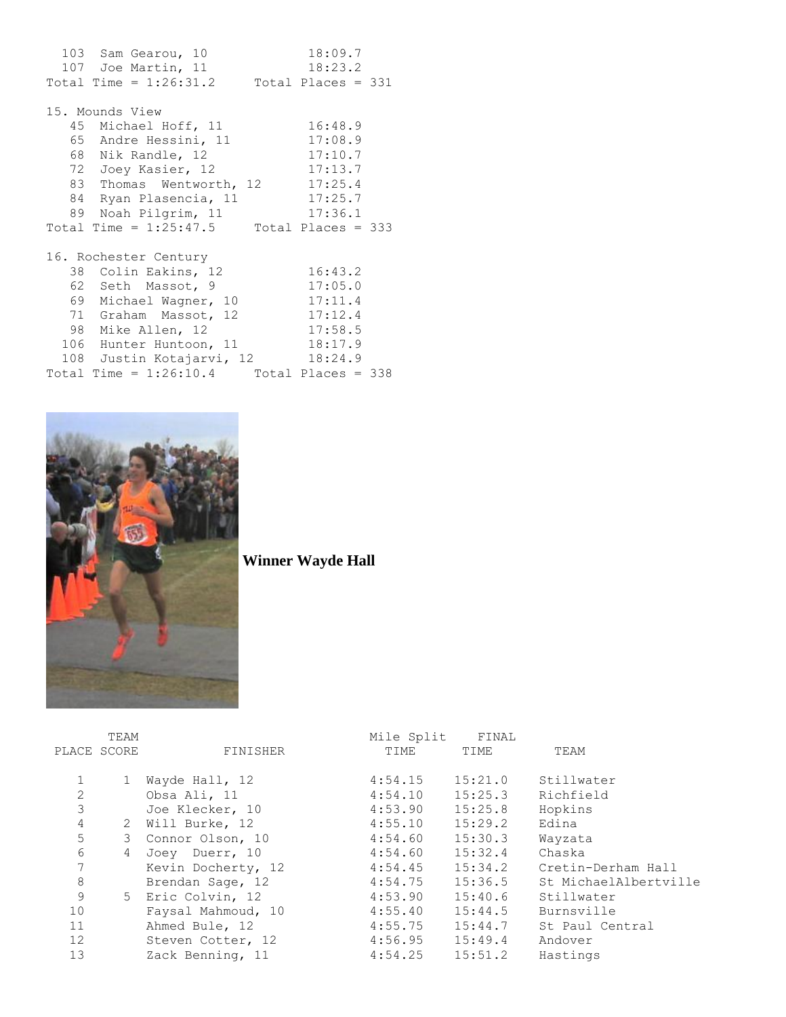103 Sam Gearou, 10 18:09.7 107 Joe Martin, 11 18:23.2 Total Time =  $1:26:31.2$  Total Places = 331 15. Mounds View 45 Michael Hoff, 11 16:48.9 65 Andre Hessini, 11 17:08.9 68 Nik Randle, 12 17:10.7 72 Joey Kasier, 12 17:13.7 83 Thomas Wentworth, 12 17:25.4 84 Ryan Plasencia, 11 17:25.7 89 Noah Pilgrim, 11 17:36.1 Total Time =  $1:25:47.5$  Total Places = 333 16. Rochester Century 38 Colin Eakins, 12 16:43.2 62 Seth Massot, 9 17:05.0 69 Michael Wagner, 10 17:11.4 71 Graham Massot, 12 17:12.4 98 Mike Allen, 12 17:58.5 106 Hunter Huntoon, 11 18:17.9 108 Justin Kotajarvi, 12 18:24.9 Total Time = 1:26:10.4 Total Places = 338



**Winner Wayde Hall**

|    | TEAM        |                    | Mile Split | FINAL   |                            |
|----|-------------|--------------------|------------|---------|----------------------------|
|    | PLACE SCORE | FINISHER           | TIME       | TIME    | TEAM                       |
|    |             |                    |            |         |                            |
|    |             | Wayde Hall, 12     | 4:54.15    | 15:21.0 | Stillwater                 |
| 2  |             | Obsa Ali, 11       | 4:54.10    | 15:25.3 | Richfield                  |
| 3  |             | Joe Klecker, 10    | 4:53.90    | 15:25.8 | Hopkins                    |
| 4  |             | 2 Will Burke, 12   | 4:55.10    | 15:29.2 | Edina                      |
| 5  | 3           | Connor Olson, 10   | 4:54.60    | 15:30.3 | Wayzata                    |
| 6  | 4           | Joey Duerr, 10     | 4:54.60    | 15:32.4 | Chaska                     |
| 7  |             | Kevin Docherty, 12 | 4:54.45    |         | 15:34.2 Cretin-Derham Hall |
| 8  |             | Brendan Sage, 12   | 4:54.75    | 15:36.5 | St MichaelAlbertville      |
| 9  | 5           | Eric Colvin, 12    | 4:53.90    | 15:40.6 | Stillwater                 |
| 10 |             | Faysal Mahmoud, 10 | 4:55.40    | 15:44.5 | Burnsville                 |
| 11 |             | Ahmed Bule, 12     | 4:55.75    | 15:44.7 | St Paul Central            |
| 12 |             | Steven Cotter, 12  | 4:56.95    | 15:49.4 | Andover                    |
| 13 |             | Zack Benning, 11   | 4:54.25    | 15:51.2 | Hastings                   |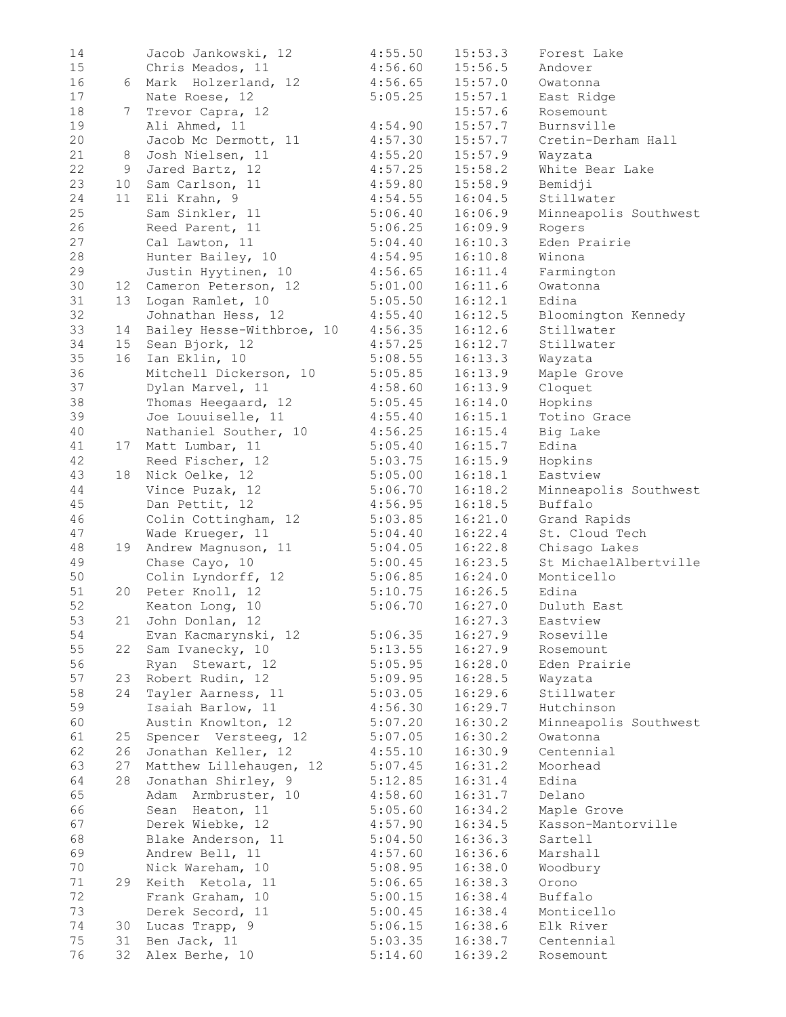| 14 |                 | Jacob Jankowski, 12       | 4:55.50 | 15:53.3 | Forest Lake           |
|----|-----------------|---------------------------|---------|---------|-----------------------|
| 15 |                 | Chris Meados, 11          | 4:56.60 | 15:56.5 | Andover               |
| 16 |                 | 6 Mark Holzerland, 12     | 4:56.65 | 15:57.0 | Owatonna              |
| 17 |                 | Nate Roese, 12            | 5:05.25 | 15:57.1 | East Ridge            |
| 18 | 7               | Trevor Capra, 12          |         | 15:57.6 | Rosemount             |
| 19 |                 | Ali Ahmed, 11             | 4:54.90 | 15:57.7 | Burnsville            |
| 20 |                 | Jacob Mc Dermott, 11      | 4:57.30 | 15:57.7 | Cretin-Derham Hall    |
| 21 | 8               | Josh Nielsen, 11          | 4:55.20 | 15:57.9 | Wayzata               |
| 22 | 9               | Jared Bartz, 12           | 4:57.25 | 15:58.2 | White Bear Lake       |
| 23 | 10              | Sam Carlson, 11           | 4:59.80 | 15:58.9 | Bemidji               |
| 24 | 11              | Eli Krahn, 9              | 4:54.55 | 16:04.5 | Stillwater            |
| 25 |                 | Sam Sinkler, 11           | 5:06.40 | 16:06.9 | Minneapolis Southwest |
| 26 |                 | Reed Parent, 11           | 5:06.25 | 16:09.9 | Rogers                |
| 27 |                 | Cal Lawton, 11            | 5:04.40 | 16:10.3 | Eden Prairie          |
| 28 |                 | Hunter Bailey, 10         | 4:54.95 | 16:10.8 | Winona                |
| 29 |                 | Justin Hyytinen, 10       | 4:56.65 | 16:11.4 | Farmington            |
| 30 |                 | 12 Cameron Peterson, 12   | 5:01.00 | 16:11.6 | Owatonna              |
| 31 | 13              | Logan Ramlet, 10          | 5:05.50 | 16:12.1 | Edina                 |
| 32 |                 | Johnathan Hess, 12        | 4:55.40 | 16:12.5 | Bloomington Kennedy   |
| 33 | 14              | Bailey Hesse-Withbroe, 10 | 4:56.35 | 16:12.6 | Stillwater            |
| 34 | 15 <sub>1</sub> | Sean Bjork, 12            | 4:57.25 | 16:12.7 | Stillwater            |
| 35 | 16              | Ian Eklin, 10             | 5:08.55 | 16:13.3 | Wayzata               |
| 36 |                 | Mitchell Dickerson, 10    | 5:05.85 | 16:13.9 | Maple Grove           |
| 37 |                 | Dylan Marvel, 11          | 4:58.60 | 16:13.9 | Cloquet               |
| 38 |                 | Thomas Heegaard, 12       | 5:05.45 | 16:14.0 | Hopkins               |
| 39 |                 | Joe Louuiselle, 11        | 4:55.40 | 16:15.1 | Totino Grace          |
| 40 |                 | Nathaniel Souther, 10     | 4:56.25 | 16:15.4 | Big Lake              |
| 41 |                 | 17 Matt Lumbar, 11        | 5:05.40 | 16:15.7 | Edina                 |
| 42 |                 | Reed Fischer, 12          | 5:03.75 | 16:15.9 | Hopkins               |
| 43 |                 | 18 Nick Oelke, 12         | 5:05.00 | 16:18.1 | Eastview              |
| 44 |                 | Vince Puzak, 12           | 5:06.70 | 16:18.2 | Minneapolis Southwest |
| 45 |                 | Dan Pettit, 12            | 4:56.95 | 16:18.5 | Buffalo               |
| 46 |                 | Colin Cottingham, 12      | 5:03.85 | 16:21.0 | Grand Rapids          |
| 47 |                 | Wade Krueger, 11          | 5:04.40 | 16:22.4 | St. Cloud Tech        |
| 48 |                 | 19 Andrew Magnuson, 11    | 5:04.05 | 16:22.8 | Chisago Lakes         |
| 49 |                 | Chase Cayo, 10            | 5:00.45 | 16:23.5 | St MichaelAlbertville |
| 50 |                 | Colin Lyndorff, 12        | 5:06.85 | 16:24.0 | Monticello            |
| 51 |                 | 20 Peter Knoll, 12        | 5:10.75 | 16:26.5 | Edina                 |
| 52 |                 | Keaton Long, 10           | 5:06.70 | 16:27.0 | Duluth East           |
| 53 |                 | 21 John Donlan, 12        |         | 16:27.3 | Eastview              |
| 54 |                 | Evan Kacmarynski, 12      | 5:06.35 | 16:27.9 | Roseville             |
| 55 | 22              | Sam Ivanecky, 10          | 5:13.55 | 16:27.9 | Rosemount             |
| 56 |                 |                           | 5:05.95 |         | Eden Prairie          |
| 57 |                 | Ryan Stewart, 12          |         | 16:28.0 |                       |
| 58 | 23.<br>24       | Robert Rudin, 12          | 5:09.95 | 16:28.5 | Wayzata<br>Stillwater |
|    |                 | Tayler Aarness, 11        | 5:03.05 | 16:29.6 | Hutchinson            |
| 59 |                 | Isaiah Barlow, 11         | 4:56.30 | 16:29.7 | Minneapolis Southwest |
| 60 |                 | Austin Knowlton, 12       | 5:07.20 | 16:30.2 |                       |
| 61 | 25              | Spencer Versteeg, 12      | 5:07.05 | 16:30.2 | Owatonna              |
| 62 | 26              | Jonathan Keller, 12       | 4:55.10 | 16:30.9 | Centennial            |
| 63 | 27              | Matthew Lillehaugen, 12   | 5:07.45 | 16:31.2 | Moorhead              |
| 64 | 28              | Jonathan Shirley, 9       | 5:12.85 | 16:31.4 | Edina                 |
| 65 |                 | Adam Armbruster, 10       | 4:58.60 | 16:31.7 | Delano                |
| 66 |                 | Sean Heaton, 11           | 5:05.60 | 16:34.2 | Maple Grove           |
| 67 |                 | Derek Wiebke, 12          | 4:57.90 | 16:34.5 | Kasson-Mantorville    |
| 68 |                 | Blake Anderson, 11        | 5:04.50 | 16:36.3 | Sartell               |
| 69 |                 | Andrew Bell, 11           | 4:57.60 | 16:36.6 | Marshall              |
| 70 |                 | Nick Wareham, 10          | 5:08.95 | 16:38.0 | Woodbury              |
| 71 | 29              | Keith Ketola, 11          | 5:06.65 | 16:38.3 | Orono                 |
| 72 |                 | Frank Graham, 10          | 5:00.15 | 16:38.4 | Buffalo               |
| 73 |                 | Derek Secord, 11          | 5:00.45 | 16:38.4 | Monticello            |
| 74 | 30              | Lucas Trapp, 9            | 5:06.15 | 16:38.6 | Elk River             |
| 75 | 31              | Ben Jack, 11              | 5:03.35 | 16:38.7 | Centennial            |
| 76 | 32              | Alex Berhe, 10            | 5:14.60 | 16:39.2 | Rosemount             |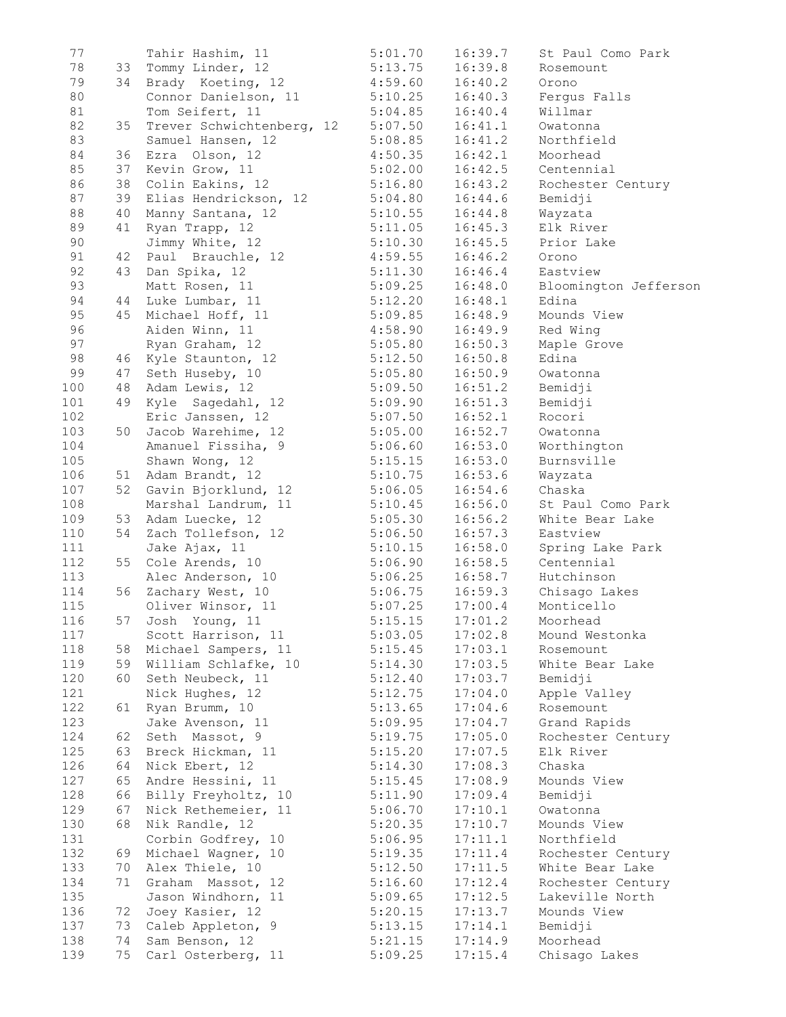| 77  |    | Tahir Hashim, 11                  | 5:01.70 | 16:39.7 | St Paul Como Park     |
|-----|----|-----------------------------------|---------|---------|-----------------------|
| 78  | 33 | Tommy Linder, 12                  | 5:13.75 | 16:39.8 | Rosemount             |
| 79  | 34 | Brady Koeting, 12                 | 4:59.60 | 16:40.2 | Orono                 |
| 80  |    | Connor Danielson, 11 5:10.25      |         | 16:40.3 | Fergus Falls          |
| 81  |    | Tom Seifert, 11                   | 5:04.85 | 16:40.4 | Willmar               |
| 82  | 35 | Trever Schwichtenberg, 12 5:07.50 |         | 16:41.1 | Owatonna              |
| 83  |    | Samuel Hansen, 12                 | 5:08.85 | 16:41.2 | Northfield            |
|     |    |                                   |         |         |                       |
| 84  | 36 | Ezra Olson, 12                    | 4:50.35 | 16:42.1 | Moorhead              |
| 85  |    | 37 Kevin Grow, 11                 | 5:02.00 | 16:42.5 | Centennial            |
| 86  | 38 | Colin Eakins, 12                  | 5:16.80 | 16:43.2 | Rochester Century     |
| 87  | 39 | Elias Hendrickson, 12             | 5:04.80 | 16:44.6 | Bemidji               |
| 88  | 40 | Manny Santana, 12                 | 5:10.55 | 16:44.8 | Wayzata               |
| 89  | 41 | Ryan Trapp, 12                    | 5:11.05 | 16:45.3 | Elk River             |
| 90  |    | Jimmy White, 12                   | 5:10.30 | 16:45.5 | Prior Lake            |
| 91  | 42 | Paul Brauchle, 12                 | 4:59.55 | 16:46.2 | Orono                 |
| 92  | 43 | Dan Spika, 12                     | 5:11.30 | 16:46.4 | Eastview              |
| 93  |    |                                   |         |         |                       |
|     |    | Matt Rosen, 11                    | 5:09.25 | 16:48.0 | Bloomington Jefferson |
| 94  | 44 | Luke Lumbar, 11                   | 5:12.20 | 16:48.1 | Edina                 |
| 95  |    | 45 Michael Hoff, 11               | 5:09.85 | 16:48.9 | Mounds View           |
| 96  |    | Aiden Winn, 11                    | 4:58.90 | 16:49.9 | Red Wing              |
| 97  |    | Ryan Graham, 12                   | 5:05.80 | 16:50.3 | Maple Grove           |
| 98  |    | 46 Kyle Staunton, 12              | 5:12.50 | 16:50.8 | Edina                 |
| 99  | 47 | Seth Huseby, 10                   | 5:05.80 | 16:50.9 | Owatonna              |
| 100 | 48 | Adam Lewis, 12                    | 5:09.50 | 16:51.2 | Bemidji               |
| 101 | 49 | Kyle Sagedahl, 12                 | 5:09.90 | 16:51.3 | Bemidji               |
| 102 |    | Eric Janssen, 12                  |         |         | Rocori                |
|     |    |                                   | 5:07.50 | 16:52.1 |                       |
| 103 | 50 | Jacob Warehime, 12                | 5:05.00 | 16:52.7 | Owatonna              |
| 104 |    | Amanuel Fissiha, 9                | 5:06.60 | 16:53.0 | Worthington           |
| 105 |    | Shawn Wong, 12                    | 5:15.15 | 16:53.0 | Burnsville            |
| 106 |    | 51 Adam Brandt, 12                | 5:10.75 | 16:53.6 | Wayzata               |
| 107 | 52 | Gavin Bjorklund, 12               | 5:06.05 | 16:54.6 | Chaska                |
| 108 |    | Marshal Landrum, 11               | 5:10.45 | 16:56.0 | St Paul Como Park     |
| 109 | 53 | Adam Luecke, 12                   | 5:05.30 | 16:56.2 | White Bear Lake       |
| 110 | 54 | Zach Tollefson, 12                | 5:06.50 | 16:57.3 | Eastview              |
| 111 |    | Jake Ajax, 11                     | 5:10.15 | 16:58.0 | Spring Lake Park      |
|     |    |                                   |         | 16:58.5 |                       |
| 112 |    | 55 Cole Arends, 10                | 5:06.90 |         | Centennial            |
| 113 |    | Alec Anderson, 10                 | 5:06.25 | 16:58.7 | Hutchinson            |
| 114 |    | 56 Zachary West, 10               | 5:06.75 | 16:59.3 | Chisago Lakes         |
| 115 |    | Oliver Winsor, 11                 | 5:07.25 | 17:00.4 | Monticello            |
| 116 |    | 57 Josh Young, 11                 | 5:15.15 | 17:01.2 | Moorhead              |
| 117 |    | Scott Harrison, 11                | 5:03.05 | 17:02.8 | Mound Westonka        |
| 118 | 58 | Michael Sampers, 11               | 5:15.45 | 17:03.1 | Rosemount             |
| 119 | 59 | William Schlafke, 10              | 5:14.30 | 17:03.5 | White Bear Lake       |
| 120 | 60 | Seth Neubeck, 11                  | 5:12.40 | 17:03.7 | Bemidji               |
| 121 |    | Nick Hughes, 12                   | 5:12.75 | 17:04.0 | Apple Valley          |
|     |    | Ryan Brumm, 10                    |         |         |                       |
| 122 | 61 |                                   | 5:13.65 | 17:04.6 | Rosemount             |
| 123 |    | Jake Avenson, 11                  | 5:09.95 | 17:04.7 | Grand Rapids          |
| 124 | 62 | Seth Massot, 9                    | 5:19.75 | 17:05.0 | Rochester Century     |
| 125 | 63 | Breck Hickman, 11                 | 5:15.20 | 17:07.5 | Elk River             |
| 126 | 64 | Nick Ebert, 12                    | 5:14.30 | 17:08.3 | Chaska                |
| 127 | 65 | Andre Hessini, 11                 | 5:15.45 | 17:08.9 | Mounds View           |
| 128 | 66 | Billy Freyholtz, 10               | 5:11.90 | 17:09.4 | Bemidji               |
| 129 | 67 | Nick Rethemeier, 11               | 5:06.70 | 17:10.1 | Owatonna              |
| 130 | 68 | Nik Randle, 12                    | 5:20.35 | 17:10.7 | Mounds View           |
| 131 |    | Corbin Godfrey, 10                | 5:06.95 | 17:11.1 | Northfield            |
|     |    |                                   |         |         |                       |
| 132 | 69 | Michael Wagner, 10                | 5:19.35 | 17:11.4 | Rochester Century     |
| 133 | 70 | Alex Thiele, 10                   | 5:12.50 | 17:11.5 | White Bear Lake       |
| 134 | 71 | Graham Massot, 12                 | 5:16.60 | 17:12.4 | Rochester Century     |
| 135 |    | Jason Windhorn, 11                | 5:09.65 | 17:12.5 | Lakeville North       |
| 136 | 72 | Joey Kasier, 12                   | 5:20.15 | 17:13.7 | Mounds View           |
| 137 | 73 | Caleb Appleton, 9                 | 5:13.15 | 17:14.1 | Bemidji               |
| 138 | 74 | Sam Benson, 12                    | 5:21.15 | 17:14.9 | Moorhead              |
| 139 | 75 | Carl Osterberg, 11                | 5:09.25 | 17:15.4 | Chisago Lakes         |
|     |    |                                   |         |         |                       |